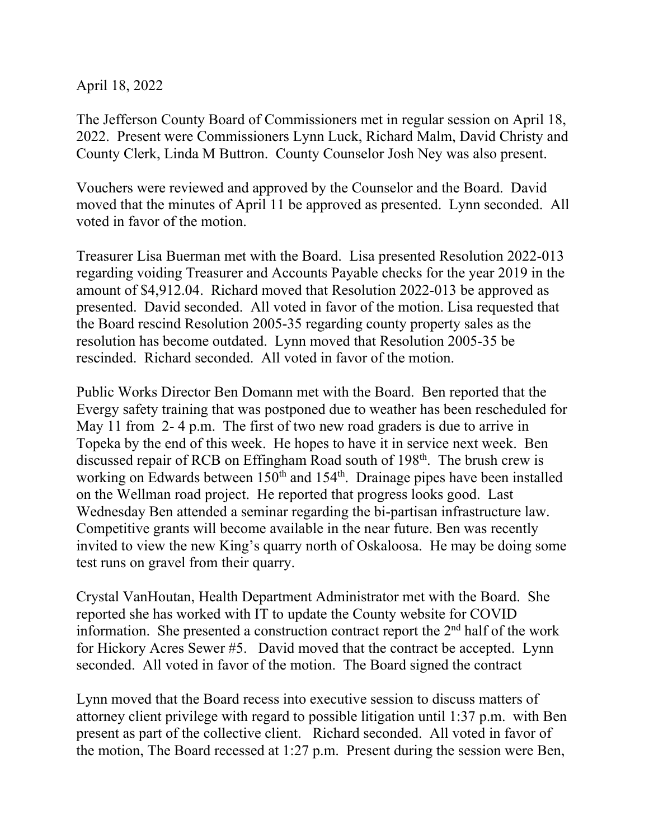April 18, 2022

The Jefferson County Board of Commissioners met in regular session on April 18, 2022. Present were Commissioners Lynn Luck, Richard Malm, David Christy and County Clerk, Linda M Buttron. County Counselor Josh Ney was also present.

Vouchers were reviewed and approved by the Counselor and the Board. David moved that the minutes of April 11 be approved as presented. Lynn seconded. All voted in favor of the motion.

Treasurer Lisa Buerman met with the Board. Lisa presented Resolution 2022-013 regarding voiding Treasurer and Accounts Payable checks for the year 2019 in the amount of \$4,912.04. Richard moved that Resolution 2022-013 be approved as presented. David seconded. All voted in favor of the motion. Lisa requested that the Board rescind Resolution 2005-35 regarding county property sales as the resolution has become outdated. Lynn moved that Resolution 2005-35 be rescinded. Richard seconded. All voted in favor of the motion.

Public Works Director Ben Domann met with the Board. Ben reported that the Evergy safety training that was postponed due to weather has been rescheduled for May 11 from 2-4 p.m. The first of two new road graders is due to arrive in Topeka by the end of this week. He hopes to have it in service next week. Ben discussed repair of RCB on Effingham Road south of 198<sup>th</sup>. The brush crew is working on Edwards between  $150<sup>th</sup>$  and  $154<sup>th</sup>$ . Drainage pipes have been installed on the Wellman road project. He reported that progress looks good. Last Wednesday Ben attended a seminar regarding the bi-partisan infrastructure law. Competitive grants will become available in the near future. Ben was recently invited to view the new King's quarry north of Oskaloosa. He may be doing some test runs on gravel from their quarry.

Crystal VanHoutan, Health Department Administrator met with the Board. She reported she has worked with IT to update the County website for COVID information. She presented a construction contract report the  $2<sup>nd</sup>$  half of the work for Hickory Acres Sewer #5. David moved that the contract be accepted. Lynn seconded. All voted in favor of the motion. The Board signed the contract

Lynn moved that the Board recess into executive session to discuss matters of attorney client privilege with regard to possible litigation until 1:37 p.m. with Ben present as part of the collective client. Richard seconded. All voted in favor of the motion, The Board recessed at 1:27 p.m. Present during the session were Ben,